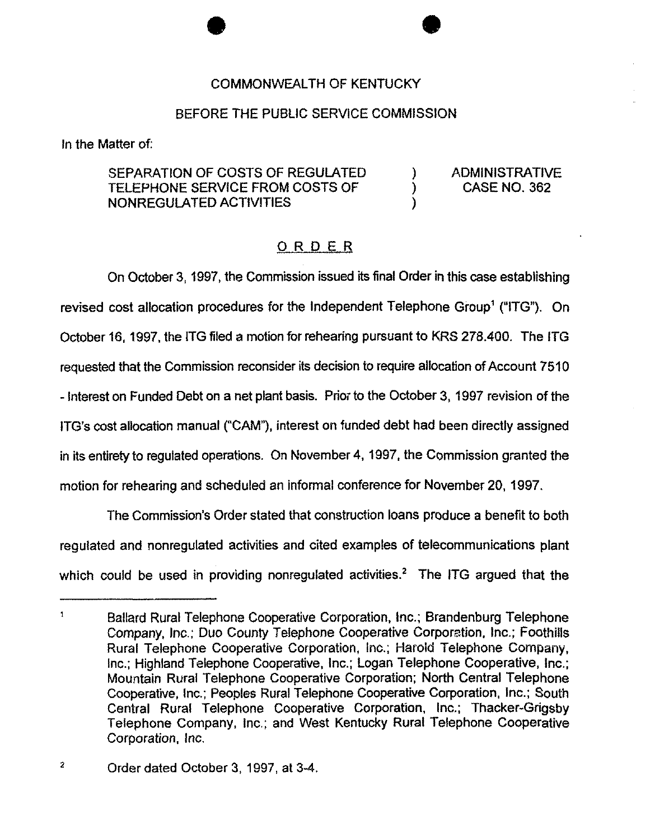## COMMONWEALTH OF KENTUCKY

## BEFORE THE PUBLIC SERVICE COMMISSION

In the Matter of:

SEPARATION OF COSTS OF REGULATED TELEPHONE SERVICE FROM COSTS OF NONREGULATED ACTIVITIES

) ADMINISTRATIVE ) CASE NO. 362

)

## ORDER

On October 3, 1997, the Commission issued its final Order in this case establishing revised cost allocation procedures for the Independent Telephone Group<sup>1</sup> ("ITG"). On October 16, 1997, the ITG filed a motion for rehearing pursuant to KRS 278.400. The ITG requested that the Commission reconsider its decision to require allocation of Account 7610 - Interest on Funded Debt on a net plant basis. Prior to the October 3, 1997 revision of the ITG's cost allocation manual ("CAM"), interest on funded debt had been directly assigned in its entirety to regulated operations. On November 4, 1997, the Commission granted the motion for rehearing and scheduled an informal conference for November 20, 1997.

The Commission's Order stated that construction loans produce a benefit to both regulated and nonreguiated activities and cited examples of telecommunications plant which could be used in providing nonregulated activities.<sup>2</sup> The ITG argued that the

 $\mathbf{1}$ Ballard Rural Telephone Cooperative Corporation, Inc.; Brandenburg Telephone Company, Inc.; Duo County Telephone Cooperative Corporation, Inc.; Foothills Rural Telephone Cooperative Corporation, Inc.; Harold Telephone Company, Inc.; Highland Telephone Cooperative, Inc.; Logan Telephone Cooperative, Inc.; Mountain Rural Telephone Cooperative Corporation; North Central Telephone Cooperative, Inc.; Peoples Rural Telephone Cooperative Corporation, Inc.; South Central Rural Telephone Cooperative Corporation, Inc.; Thacker-Grigsby Telephone Company, inc.; and West Kentucky Rural Telephone Cooperative Corporation, Inc.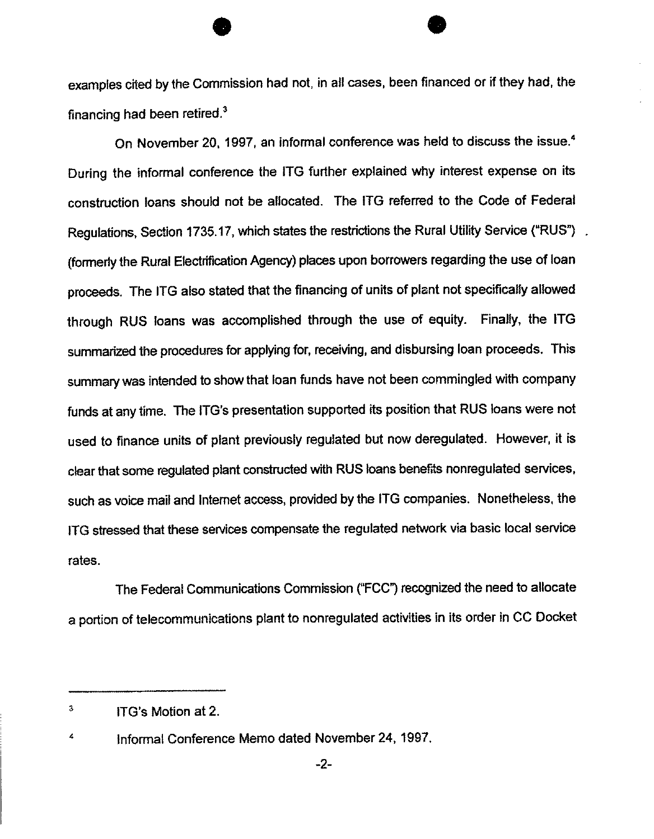examples cited by the Commission had not, in all cases, been financed or if they had, the financing had been retired. $3$ 

On November 20, 1997, an informal conference was held to discuss the issue.<sup>4</sup> During the informal conference the ITG further explained why interest expense on its construction loans should not be allocated. The ITG referred to the Code of Federal Regulations, Section 1735.17, which states the restrictions the Rural Utility Service ("RUS"). (formerly the Rural Electrification Agency) places upon borrowers regarding the use of loan proceeds. The ITG also stated that the financing of units of plant not specifically allowed through RUS loans was accomplished through the use of equity. Finally, the ITG summarized the procedures for applying for, receiving, and disbursing loan proceeds. This summary was intended to show that loan funds have not been commingled with company funds at any time. The ITG's presentation supported its position that RUS loans were not used to finance units of plant previously regulated but now deregulated. However, it is clear that some regulated plant constructed with RUS loans benefits nonregulated services, such as voice mail and Internet access, provided by the ITG companies. Nonetheless, the ITG stressed that these services compensate the regulated network via basic local service rates.

The Federal Communications Commission ("FCC") recognized the need to allocate a portion of telecommunications plant to nonregulated activities in its order in CC Docket

 $\overline{\mathbf{3}}$ ITG's Motion at 2.

 $\overline{\mathbf{4}}$ informal Conference Memo dated November 24, 1997.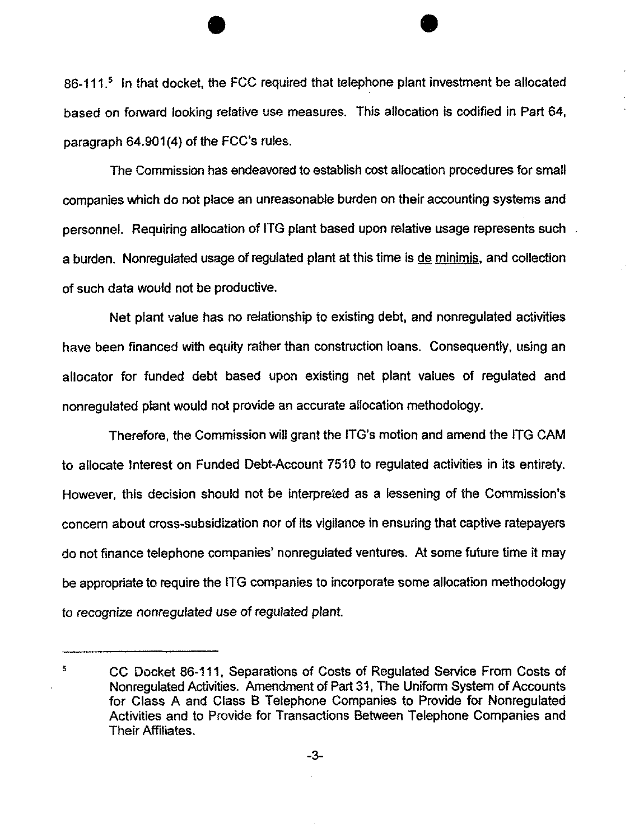86-111.<sup>5</sup> In that docket, the FCC required that telephone plant investment be allocated based on forward looking relative use measures. This allocation is codified in Part 64, paragraph 64.901(4) of the FCC's rules.

The Commission has endeavored to establish cost allocation procedures for small companies which do not place an unreasonable burden on their accounting systems and personnel. Requiring allocation of ITG plant based upon relative usage represents such a burden. Nonregulated usage of regulated plant at this time is de minimis, and coilection of such data would not be productive.

Net plant value has no relationship to existing debt, and nonregulated activities have been financed with equity rather than construction loans. Consequently, using an allocator for funded debt based upon existing net plant values of regulated and nonreguiated plant would not provide an accurate allocation methodology.

Therefore, the Commission will grant the ITG's motion and amend the ITG CAM to allocate Interest on Funded Debt-Account 7510 to regulated activities in its entirety. However, this decision should not be interpreted as a lessening of the Commission's concern about cross-subsidization nor of its vigilance in ensuring that captive ratepayers do not finance telephone companies' nonregulated ventures. At some future time it may be appropriate to require the ITG companies to incorporate some allocation methodology to recognize nonreguiated use of regulated plant

 $\tilde{\mathbf{5}}$ CC Docket 86-111, Separations of Costs of Regulated Service From Costs of Nonregulated Activities. Amendment of Part 31, The Uniform System of Accounts for Class A and Class B Telephone Companies to Provide for Nonregulated Activities and to Provide for Transactions Between Telephone Companies and Their Affiliates.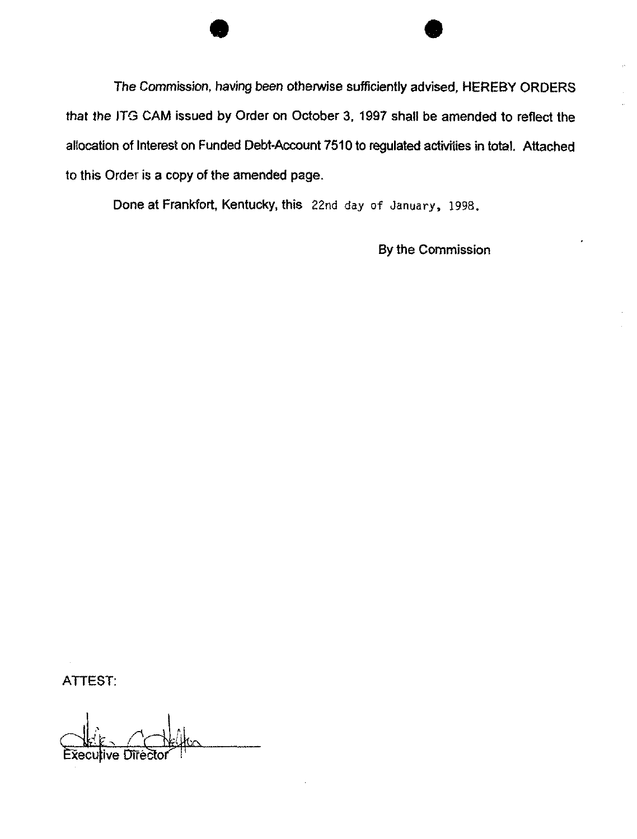The Commission, having been otherwise sufficiently advised, HEREBY ORDERS that the iTG CAM issued by Order on October 3, 1997 shall be amended to reflect the allocation of Interest on Funded Debt-Account 7510 to regulated activities in total. Attached to this Order is a copy of the amended page.

Done at Frankfort, Kentucky, this 22nd day of January, 1998.

By the Commission

ATTEST:

Executive Direc